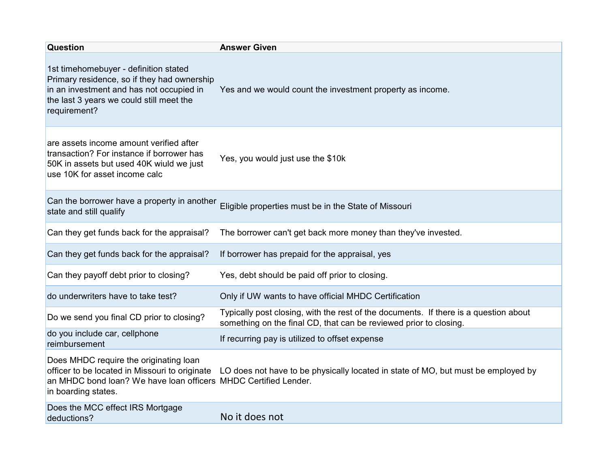| <b>Question</b>                                                                                                                                                                              | <b>Answer Given</b>                                                                                                                                       |
|----------------------------------------------------------------------------------------------------------------------------------------------------------------------------------------------|-----------------------------------------------------------------------------------------------------------------------------------------------------------|
| 1st timehomebuyer - definition stated<br>Primary residence, so if they had ownership<br>in an investment and has not occupied in<br>the last 3 years we could still meet the<br>requirement? | Yes and we would count the investment property as income.                                                                                                 |
| are assets income amount verified after<br>transaction? For instance if borrower has<br>50K in assets but used 40K wiuld we just<br>use 10K for asset income calc                            | Yes, you would just use the \$10k                                                                                                                         |
| Can the borrower have a property in another<br>state and still qualify                                                                                                                       | Eligible properties must be in the State of Missouri                                                                                                      |
| Can they get funds back for the appraisal?                                                                                                                                                   | The borrower can't get back more money than they've invested.                                                                                             |
| Can they get funds back for the appraisal?                                                                                                                                                   | If borrower has prepaid for the appraisal, yes                                                                                                            |
| Can they payoff debt prior to closing?                                                                                                                                                       | Yes, debt should be paid off prior to closing.                                                                                                            |
| do underwriters have to take test?                                                                                                                                                           | Only if UW wants to have official MHDC Certification                                                                                                      |
| Do we send you final CD prior to closing?                                                                                                                                                    | Typically post closing, with the rest of the documents. If there is a question about<br>something on the final CD, that can be reviewed prior to closing. |
| do you include car, cellphone<br>reimbursement                                                                                                                                               | If recurring pay is utilized to offset expense                                                                                                            |
| Does MHDC require the originating loan<br>officer to be located in Missouri to originate<br>an MHDC bond loan? We have loan officers MHDC Certified Lender.<br>in boarding states.           | LO does not have to be physically located in state of MO, but must be employed by                                                                         |
| Does the MCC effect IRS Mortgage<br>deductions?                                                                                                                                              | No it does not                                                                                                                                            |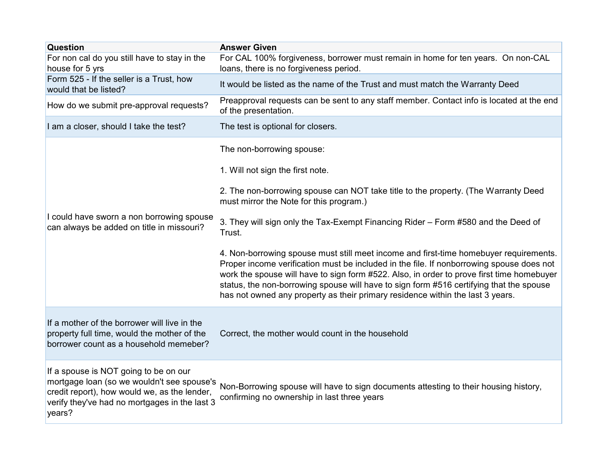| <b>Question</b>                                                                                                                                                                                | <b>Answer Given</b>                                                                                                                                                                                                                                                                                                                                                                                                                                         |
|------------------------------------------------------------------------------------------------------------------------------------------------------------------------------------------------|-------------------------------------------------------------------------------------------------------------------------------------------------------------------------------------------------------------------------------------------------------------------------------------------------------------------------------------------------------------------------------------------------------------------------------------------------------------|
| For non cal do you still have to stay in the<br>house for 5 yrs                                                                                                                                | For CAL 100% forgiveness, borrower must remain in home for ten years. On non-CAL<br>loans, there is no forgiveness period.                                                                                                                                                                                                                                                                                                                                  |
| Form 525 - If the seller is a Trust, how<br>would that be listed?                                                                                                                              | It would be listed as the name of the Trust and must match the Warranty Deed                                                                                                                                                                                                                                                                                                                                                                                |
| How do we submit pre-approval requests?                                                                                                                                                        | Preapproval requests can be sent to any staff member. Contact info is located at the end<br>of the presentation.                                                                                                                                                                                                                                                                                                                                            |
| I am a closer, should I take the test?                                                                                                                                                         | The test is optional for closers.                                                                                                                                                                                                                                                                                                                                                                                                                           |
| I could have sworn a non borrowing spouse<br>can always be added on title in missouri?                                                                                                         | The non-borrowing spouse:                                                                                                                                                                                                                                                                                                                                                                                                                                   |
|                                                                                                                                                                                                | 1. Will not sign the first note.                                                                                                                                                                                                                                                                                                                                                                                                                            |
|                                                                                                                                                                                                | 2. The non-borrowing spouse can NOT take title to the property. (The Warranty Deed<br>must mirror the Note for this program.)                                                                                                                                                                                                                                                                                                                               |
|                                                                                                                                                                                                | 3. They will sign only the Tax-Exempt Financing Rider - Form #580 and the Deed of<br>Trust.                                                                                                                                                                                                                                                                                                                                                                 |
|                                                                                                                                                                                                | 4. Non-borrowing spouse must still meet income and first-time homebuyer requirements.<br>Proper income verification must be included in the file. If nonborrowing spouse does not<br>work the spouse will have to sign form #522. Also, in order to prove first time homebuyer<br>status, the non-borrowing spouse will have to sign form #516 certifying that the spouse<br>has not owned any property as their primary residence within the last 3 years. |
| If a mother of the borrower will live in the<br>property full time, would the mother of the<br>borrower count as a household memeber?                                                          | Correct, the mother would count in the household                                                                                                                                                                                                                                                                                                                                                                                                            |
| If a spouse is NOT going to be on our<br>mortgage loan (so we wouldn't see spouse's<br>credit report), how would we, as the lender,<br>verify they've had no mortgages in the last 3<br>years? | Non-Borrowing spouse will have to sign documents attesting to their housing history,<br>confirming no ownership in last three years                                                                                                                                                                                                                                                                                                                         |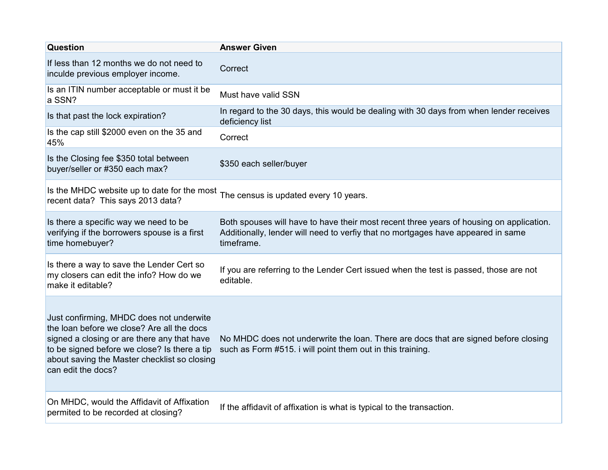| <b>Question</b>                                                                                                                                                                                                                                             | <b>Answer Given</b>                                                                                                                                                                       |
|-------------------------------------------------------------------------------------------------------------------------------------------------------------------------------------------------------------------------------------------------------------|-------------------------------------------------------------------------------------------------------------------------------------------------------------------------------------------|
| If less than 12 months we do not need to<br>inculde previous employer income.                                                                                                                                                                               | Correct                                                                                                                                                                                   |
| Is an ITIN number acceptable or must it be<br>a SSN?                                                                                                                                                                                                        | Must have valid SSN                                                                                                                                                                       |
| Is that past the lock expiration?                                                                                                                                                                                                                           | In regard to the 30 days, this would be dealing with 30 days from when lender receives<br>deficiency list                                                                                 |
| Is the cap still \$2000 even on the 35 and<br>45%                                                                                                                                                                                                           | Correct                                                                                                                                                                                   |
| Is the Closing fee \$350 total between<br>buyer/seller or #350 each max?                                                                                                                                                                                    | \$350 each seller/buyer                                                                                                                                                                   |
| Is the MHDC website up to date for the most The census is updated every 10 years.<br>recent data? This says 2013 data?                                                                                                                                      |                                                                                                                                                                                           |
| Is there a specific way we need to be<br>verifying if the borrowers spouse is a first<br>time homebuyer?                                                                                                                                                    | Both spouses will have to have their most recent three years of housing on application.<br>Additionally, lender will need to verfiy that no mortgages have appeared in same<br>timeframe. |
| Is there a way to save the Lender Cert so<br>my closers can edit the info? How do we<br>make it editable?                                                                                                                                                   | If you are referring to the Lender Cert issued when the test is passed, those are not<br>editable.                                                                                        |
| Just confirming, MHDC does not underwite<br>the loan before we close? Are all the docs<br>signed a closing or are there any that have<br>to be signed before we close? Is there a tip<br>about saving the Master checklist so closing<br>can edit the docs? | No MHDC does not underwrite the loan. There are docs that are signed before closing<br>such as Form #515. i will point them out in this training.                                         |
| On MHDC, would the Affidavit of Affixation<br>permited to be recorded at closing?                                                                                                                                                                           | If the affidavit of affixation is what is typical to the transaction.                                                                                                                     |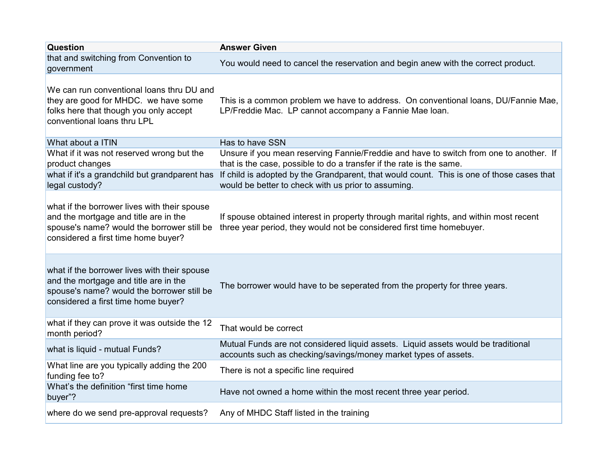| Question                                                                                                                                                                   | <b>Answer Given</b>                                                                                                                                             |
|----------------------------------------------------------------------------------------------------------------------------------------------------------------------------|-----------------------------------------------------------------------------------------------------------------------------------------------------------------|
| that and switching from Convention to<br>government                                                                                                                        | You would need to cancel the reservation and begin anew with the correct product.                                                                               |
| We can run conventional loans thru DU and<br>they are good for MHDC. we have some<br>folks here that though you only accept<br>conventional loans thru LPL                 | This is a common problem we have to address. On conventional loans, DU/Fannie Mae,<br>LP/Freddie Mac. LP cannot accompany a Fannie Mae Ioan.                    |
| What about a ITIN                                                                                                                                                          | Has to have SSN                                                                                                                                                 |
| What if it was not reserved wrong but the<br>product changes                                                                                                               | Unsure if you mean reserving Fannie/Freddie and have to switch from one to another. If<br>that is the case, possible to do a transfer if the rate is the same.  |
| what if it's a grandchild but grandparent has<br>legal custody?                                                                                                            | If child is adopted by the Grandparent, that would count. This is one of those cases that<br>would be better to check with us prior to assuming.                |
| what if the borrower lives with their spouse<br>and the mortgage and title are in the<br>spouse's name? would the borrower still be<br>considered a first time home buyer? | If spouse obtained interest in property through marital rights, and within most recent<br>three year period, they would not be considered first time homebuyer. |
| what if the borrower lives with their spouse<br>and the mortgage and title are in the<br>spouse's name? would the borrower still be<br>considered a first time home buyer? | The borrower would have to be seperated from the property for three years.                                                                                      |
| what if they can prove it was outside the 12<br>month period?                                                                                                              | That would be correct                                                                                                                                           |
| what is liquid - mutual Funds?                                                                                                                                             | Mutual Funds are not considered liquid assets. Liquid assets would be traditional<br>accounts such as checking/savings/money market types of assets.            |
| What line are you typically adding the 200<br>funding fee to?                                                                                                              | There is not a specific line required                                                                                                                           |
| What's the definition "first time home<br>buyer"?                                                                                                                          | Have not owned a home within the most recent three year period.                                                                                                 |
| where do we send pre-approval requests?                                                                                                                                    | Any of MHDC Staff listed in the training                                                                                                                        |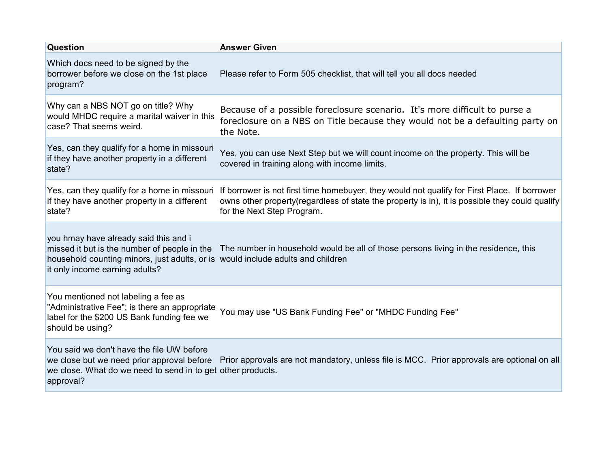| <b>Question</b>                                                                                                                                            | <b>Answer Given</b>                                                                                                                                                                                                                                                        |
|------------------------------------------------------------------------------------------------------------------------------------------------------------|----------------------------------------------------------------------------------------------------------------------------------------------------------------------------------------------------------------------------------------------------------------------------|
| Which docs need to be signed by the<br>borrower before we close on the 1st place<br>program?                                                               | Please refer to Form 505 checklist, that will tell you all docs needed                                                                                                                                                                                                     |
| Why can a NBS NOT go on title? Why<br>would MHDC require a marital waiver in this<br>case? That seems weird.                                               | Because of a possible foreclosure scenario. It's more difficult to purse a<br>foreclosure on a NBS on Title because they would not be a defaulting party on<br>the Note.                                                                                                   |
| Yes, can they qualify for a home in missouri<br>if they have another property in a different<br>state?                                                     | Yes, you can use Next Step but we will count income on the property. This will be<br>covered in training along with income limits.                                                                                                                                         |
| if they have another property in a different<br>state?                                                                                                     | Yes, can they qualify for a home in missouri If borrower is not first time homebuyer, they would not qualify for First Place. If borrower<br>owns other property (regardless of state the property is in), it is possible they could qualify<br>for the Next Step Program. |
| you hmay have already said this and i<br>household counting minors, just adults, or is would include adults and children<br>it only income earning adults? | missed it but is the number of people in the The number in household would be all of those persons living in the residence, this                                                                                                                                           |
| You mentioned not labeling a fee as<br>"Administrative Fee"; is there an appropriate<br>label for the \$200 US Bank funding fee we<br>should be using?     | You may use "US Bank Funding Fee" or "MHDC Funding Fee"                                                                                                                                                                                                                    |
| You said we don't have the file UW before<br>we close. What do we need to send in to get other products.<br>approval?                                      | we close but we need prior approval before Prior approvals are not mandatory, unless file is MCC. Prior approvals are optional on all                                                                                                                                      |